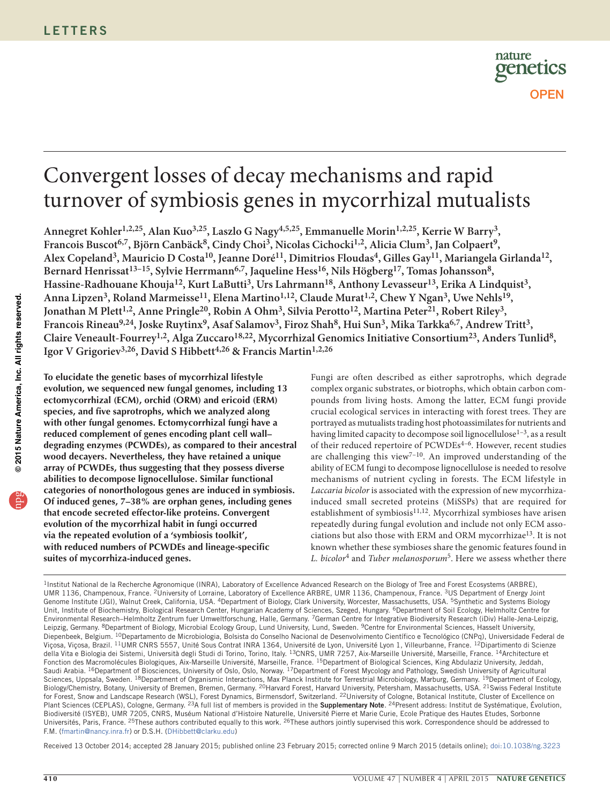

# Convergent losses of decay mechanisms and rapid turnover of symbiosis genes in mycorrhizal mutualists

**Annegret Kohler1,2,25, Alan Kuo3,25, Laszlo G Nagy4,5,25, Emmanuelle Morin1,2,25, Kerrie W Barry3,**  Francois Buscot<sup>6,7</sup>, Björn Canbäck<sup>8</sup>, Cindy Choi<sup>3</sup>, Nicolas Cichocki<sup>1,2</sup>, Alicia Clum<sup>3</sup>, Jan Colpaert<sup>9</sup>, **Alex Copeland3, Mauricio D Costa10, Jeanne Doré11, Dimitrios Floudas4, Gilles Gay11, Mariangela Girlanda12,**  Bernard Henrissat<sup>13-15</sup>, Sylvie Herrmann<sup>6,7</sup>, Jaqueline Hess<sup>16</sup>, Nils Högberg<sup>17</sup>, Tomas Johansson<sup>8</sup>, Hassine-Radhouane Khouja<sup>12</sup>, Kurt LaButti<sup>3</sup>, Urs Lahrmann<sup>18</sup>, Anthony Levasseur<sup>13</sup>, Erika A Lindquist<sup>3</sup>, Anna Lipzen<sup>3</sup>, Roland Marmeisse<sup>11</sup>, Elena Martino<sup>1,12</sup>, Claude Murat<sup>1,2</sup>, Chew Y Ngan<sup>3</sup>, Uwe Nehls<sup>19</sup>, Jonathan M Plett<sup>1,2</sup>, Anne Pringle<sup>20</sup>, Robin A Ohm<sup>3</sup>, Silvia Perotto<sup>12</sup>, Martina Peter<sup>21</sup>, Robert Riley<sup>3</sup>, **Francois Rineau9,24, Joske Ruytinx9, Asaf Salamov3, Firoz Shah8, Hui Sun3, Mika Tarkka6,7, Andrew Tritt3, Claire Veneault-Fourrey1,2, Alga Zuccaro18,22, Mycorrhizal Genomics Initiative Consortium23, Anders Tunlid8, Igor V Grigoriev3,26, David S Hibbett4,26 & Francis Martin1,2,26**

**To elucidate the genetic bases of mycorrhizal lifestyle evolution, we sequenced new fungal genomes, including 13 ectomycorrhizal (ECM), orchid (ORM) and ericoid (ERM) species, and five saprotrophs, which we analyzed along with other fungal genomes. Ectomycorrhizal fungi have a reduced complement of genes encoding plant cell wall– degrading enzymes (PCWDEs), as compared to their ancestral wood decayers. Nevertheless, they have retained a unique array of PCWDEs, thus suggesting that they possess diverse abilities to decompose lignocellulose. Similar functional categories of nonorthologous genes are induced in symbiosis. Of induced genes, 7–38% are orphan genes, including genes that encode secreted effector-like proteins. Convergent evolution of the mycorrhizal habit in fungi occurred via the repeated evolution of a 'symbiosis toolkit', with reduced numbers of PCWDEs and lineage-specific suites of mycorrhiza-induced genes.**

Fungi are often described as either saprotrophs, which degrade complex organic substrates, or biotrophs, which obtain carbon compounds from living hosts. Among the latter, ECM fungi provide crucial ecological services in interacting with forest trees. They are portrayed as mutualists trading host photoassimilates for nutrients and having limited capacity to decompose soil lignocellulose<sup>[1–](#page-5-0)[3](#page-5-1)</sup>, as a result of their reduced repertoire of PCWDEs[4–](#page-5-2)[6](#page-5-3). However, recent studies are challenging this view<sup>7-10</sup>. An improved understanding of the ability of ECM fungi to decompose lignocellulose is needed to resolve mechanisms of nutrient cycling in forests. The ECM lifestyle in *Laccaria bicolor* is associated with the expression of new mycorrhizainduced small secreted proteins (MiSSPs) that are required for establishment of symbiosis<sup>[11,](#page-5-6)[12](#page-5-7)</sup>. Mycorrhizal symbioses have arisen repeatedly during fungal evolution and include not only ECM associations but also those with ERM and ORM mycorrhiza[e13.](#page-5-8) It is not known whether these symbioses share the genomic features found in *L. bicolor*[4](#page-5-2) and *Tuber melanosporum*[5](#page-5-9). Here we assess whether there

Received 13 October 2014; accepted 28 January 2015; published online 23 February 2015; corrected online 9 March 2015 (details online); [doi:10.1038/ng.3223](http://www.nature.com/doifinder/10.1038/ng.3223)

<sup>&</sup>lt;sup>1</sup>Institut National de la Recherche Agronomique (INRA), Laboratory of Excellence Advanced Research on the Biology of Tree and Forest Ecosystems (ARBRE), UMR 1136, Champenoux, France. 2University of Lorraine, Laboratory of Excellence ARBRE, UMR 1136, Champenoux, France. 3US Department of Energy Joint Genome Institute (JGI), Walnut Creek, California, USA. 4Department of Biology, Clark University, Worcester, Massachusetts, USA. 5Synthetic and Systems Biology Unit, Institute of Biochemistry, Biological Research Center, Hungarian Academy of Sciences, Szeged, Hungary. <sup>6</sup>Department of Soil Ecology, Helmholtz Centre for Environmental Research–Helmholtz Zentrum fuer Umweltforschung, Halle, Germany. 7German Centre for Integrative Biodiversity Research (iDiv) Halle-Jena-Leipzig, Leipzig, Germany. <sup>8</sup>Department of Biology, Microbial Ecology Group, Lund University, Lund, Sweden. <sup>9</sup>Centre for Environmental Sciences, Hasselt University, Diepenbeek, Belgium. <sup>10</sup>Departamento de Microbiologia, Bolsista do Conselho Nacional de Desenvolvimento Científico e Tecnológico (CNPq), Universidade Federal de Viçosa, Viçosa, Brazil. <sup>11</sup>UMR CNRS 5557, Unité Sous Contrat INRA 1364, Université de Lyon, Université Lyon 1, Villeurbanne, France. <sup>12</sup>Dipartimento di Scienze della Vita e Biologia dei Sistemi, Università degli Studi di Torino, Torino, Italy. <sup>13</sup>CNRS, UMR 7257, Aix-Marseille Université, Marseille, France. <sup>14</sup>Architecture et Fonction des Macromolécules Biologiques, Aix-Marseille Université, Marseille, France. <sup>15</sup>Department of Biological Sciences, King Abdulaziz University, Jeddah, Saudi Arabia. <sup>16</sup>Department of Biosciences, University of Oslo, Oslo, Norway. <sup>17</sup>Department of Forest Mycology and Pathology, Swedish University of Agricultural Sciences, Uppsala, Sweden. <sup>18</sup>Department of Organismic Interactions, Max Planck Institute for Terrestrial Microbiology, Marburg, Germany. <sup>19</sup>Department of Ecology, Biology/Chemistry, Botany, University of Bremen, Bremen, Germany. <sup>20</sup>Harvard Forest, Harvard University, Petersham, Massachusetts, USA. <sup>21</sup>Swiss Federal Institute for Forest, Snow and Landscape Research (WSL), Forest Dynamics, Birmensdorf, Switzerland. <sup>22</sup>University of Cologne, Botanical Institute, Cluster of Excellence on Plant Sciences (CEPLAS), Cologne, Germany. <sup>23</sup>A full list of members is provided in the **Supplementary Note**. <sup>24</sup>Present address: Institut de Systématique, Évolution, Biodiversité (ISYEB), UMR 7205, CNRS, Muséum National d'Histoire Naturelle, Université Pierre et Marie Curie, Ecole Pratique des Hautes Etudes, Sorbonne Universités, Paris, France. 25These authors contributed equally to this work. 26These authors jointly supervised this work. Correspondence should be addressed to F.M. (fmartin@nancy.inra.fr) or D.S.H. (DHibbett@clarku.edu)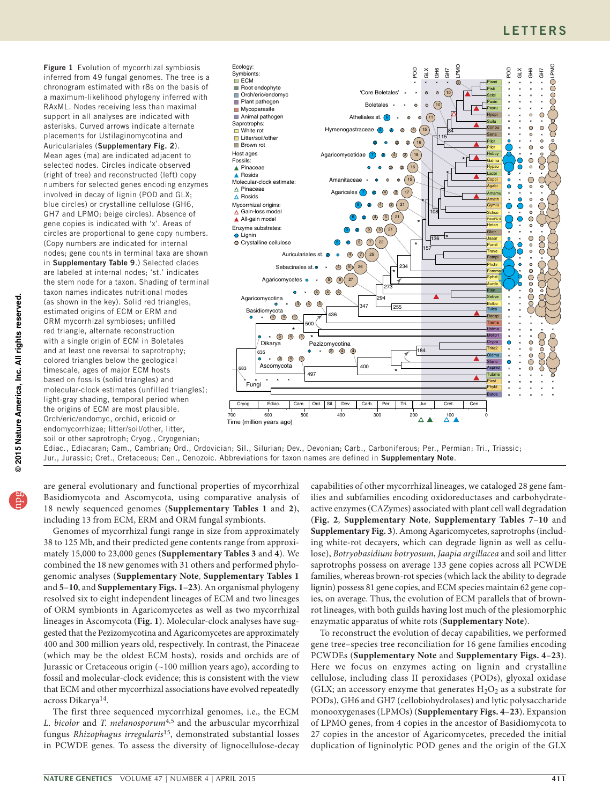<span id="page-1-0"></span>Figure 1 Evolution of mycorrhizal symbiosis inferred from 49 fungal genomes. The tree is a chronogram estimated with r8s on the basis of a maximum-likelihood phylogeny inferred with RAxML. Nodes receiving less than maximal support in all analyses are indicated with asterisks. Curved arrows indicate alternate placements for Ustilaginomycotina and Auriculariales (Supplementary Fig. 2). Mean ages (ma) are indicated adjacent to selected nodes. Circles indicate observed (right of tree) and reconstructed (left) copy numbers for selected genes encoding enzymes involved in decay of lignin (POD and GLX; blue circles) or crystalline cellulose (GH6, GH7 and LPMO; beige circles). Absence of gene copies is indicated with 'x'. Areas of circles are proportional to gene copy numbers. (Copy numbers are indicated for internal nodes; gene counts in terminal taxa are shown in Supplementary Table 9.) Selected clades are labeled at internal nodes; 'st.' indicates the stem node for a taxon. Shading of terminal taxon names indicates nutritional modes (as shown in the key). Solid red triangles, estimated origins of ECM or ERM and ORM mycorrhizal symbioses; unfilled red triangle, alternate reconstruction with a single origin of ECM in Boletales and at least one reversal to saprotrophy; colored triangles below the geological timescale, ages of major ECM hosts based on fossils (solid triangles) and molecular-clock estimates (unfilled triangles); light-gray shading, temporal period when the origins of ECM are most plausible. Orch/eric/endomyc, orchid, ericoid or endomycorrhizae; litter/soil/other, litter, soil or other saprotroph; Cryog., Cryogenian;



Ediac., Ediacaran; Cam., Cambrian; Ord., Ordovician; Sil., Silurian; Dev., Devonian; Carb., Carboniferous; Per., Permian; Tri., Triassic; Jur., Jurassic; Cret., Cretaceous; Cen., Cenozoic. Abbreviations for taxon names are defined in Supplementary Note.

are general evolutionary and functional properties of mycorrhizal Basidiomycota and Ascomycota, using comparative analysis of 18 newly sequenced genomes (**Supplementary Tables 1** and **2**), including 13 from ECM, ERM and ORM fungal symbionts.

Genomes of mycorrhizal fungi range in size from approximately 38 to 125 Mb, and their predicted gene contents range from approximately 15,000 to 23,000 genes (**Supplementary Tables 3** and **4**). We combined the 18 new genomes with 31 others and performed phylogenomic analyses (**Supplementary Note**, **Supplementary Tables 1** and **5**–**10**, and **Supplementary Figs. 1**–**23**). An organismal phylogeny resolved six to eight independent lineages of ECM and two lineages of ORM symbionts in Agaricomycetes as well as two mycorrhizal lineages in Ascomycota (**[Fig. 1](#page-2-0)**). Molecular-clock analyses have suggested that the Pezizomycotina and Agaricomycetes are approximately 400 and 300 million years old, respectively. In contrast, the Pinaceae (which may be the oldest ECM hosts), rosids and orchids are of Jurassic or Cretaceous origin (~100 million years ago), according to fossil and molecular-clock evidence; this is consistent with the view that ECM and other mycorrhizal associations have evolved repeatedly across Dikarya[14.](#page-5-10)

The first three sequenced mycorrhizal genomes, i.e., the ECM *L. bicolor* and *T. melanosporum*[4,](#page-5-2)[5](#page-5-9) and the arbuscular mycorrhizal fungus *Rhizophagus irregularis*[15,](#page-5-11) demonstrated substantial losses in PCWDE genes. To assess the diversity of lignocellulose-decay capabilities of other mycorrhizal lineages, we cataloged 28 gene families and subfamilies encoding oxidoreductases and carbohydrateactive enzymes (CAZymes) associated with plant cell wall degradation (**[Fig. 2](#page-1-0)**, **Supplementary Note**, **Supplementary Tables 7**–**10** and **Supplementary Fig. 3**). Among Agaricomycetes, saprotrophs (including white-rot decayers, which can degrade lignin as well as cellulose), *Botryobasidium botryosum*, *Jaapia argillacea* and soil and litter saprotrophs possess on average 133 gene copies across all PCWDE families, whereas brown-rot species (which lack the ability to degrade lignin) possess 81 gene copies, and ECM species maintain 62 gene copies, on average. Thus, the evolution of ECM parallels that of brownrot lineages, with both guilds having lost much of the plesiomorphic enzymatic apparatus of white rots (**Supplementary Note**).

To reconstruct the evolution of decay capabilities, we performed gene tree–species tree reconciliation for 16 gene families encoding PCWDEs (**Supplementary Note** and **Supplementary Figs. 4**–**23**). Here we focus on enzymes acting on lignin and crystalline cellulose, including class II peroxidases (PODs), glyoxal oxidase (GLX; an accessory enzyme that generates  $H_2O_2$  as a substrate for PODs), GH6 and GH7 (cellobiohydrolases) and lytic polysaccharide monooxygenases (LPMOs) (**Supplementary Figs. 4**–**23**). Expansion of LPMO genes, from 4 copies in the ancestor of Basidiomycota to 27 copies in the ancestor of Agaricomycetes, preceded the initial duplication of ligninolytic POD genes and the origin of the GLX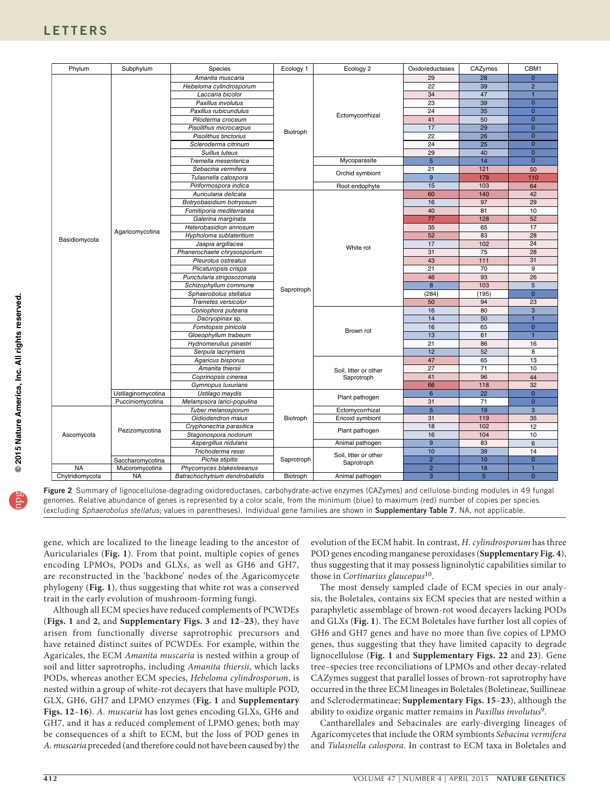| 28<br>29<br>Amanita muscaria<br>22<br>39<br>Hebeloma cylindrosporum<br>34<br>47<br>Laccaria bicolor<br>$\overline{39}$<br>23<br>Paxillus involutus<br>35<br>Paxillus rubicundulus<br>24<br>Ectomycorrhizal | $\overline{0}$<br>$\overline{2}$<br>$\overline{1}$<br>$\overline{0}$<br>$\overline{0}$<br>$\overline{0}$<br>$\overline{0}$<br>$\overline{0}$ |
|------------------------------------------------------------------------------------------------------------------------------------------------------------------------------------------------------------|----------------------------------------------------------------------------------------------------------------------------------------------|
|                                                                                                                                                                                                            |                                                                                                                                              |
|                                                                                                                                                                                                            |                                                                                                                                              |
|                                                                                                                                                                                                            |                                                                                                                                              |
|                                                                                                                                                                                                            |                                                                                                                                              |
|                                                                                                                                                                                                            |                                                                                                                                              |
| 41<br>50<br>Piloderma croceum                                                                                                                                                                              |                                                                                                                                              |
| 29<br>17<br>Pisolithus microcarpus                                                                                                                                                                         |                                                                                                                                              |
| Biotroph<br>22<br>26<br>Pisolithus tinctorius                                                                                                                                                              |                                                                                                                                              |
| $\overline{25}$<br>24<br>Scleroderma citrinum                                                                                                                                                              | $\overline{0}$                                                                                                                               |
| 29<br>40<br>Suillus luteus                                                                                                                                                                                 | $\overline{0}$                                                                                                                               |
| Mycoparasite<br>$5\phantom{1}$<br>14<br>Tremella mesenterica                                                                                                                                               | $\overline{0}$                                                                                                                               |
| Sebacina vermifera<br>21<br>121                                                                                                                                                                            | 50                                                                                                                                           |
| Orchid symbiont<br>9<br>178<br>Tulasnella calospora                                                                                                                                                        | 110                                                                                                                                          |
| 15<br>103<br>Piriformospora indica<br>Root endophyte                                                                                                                                                       | 64                                                                                                                                           |
| 60<br>140<br>Auricularia delicata                                                                                                                                                                          | 42                                                                                                                                           |
| 16<br>97<br>Botryobasidium botryosum                                                                                                                                                                       | 29                                                                                                                                           |
| 40<br>81<br>Fomitiporia mediterranea                                                                                                                                                                       | 10                                                                                                                                           |
| 77<br>128<br>Galerina marginata                                                                                                                                                                            | 52                                                                                                                                           |
| 35<br>65<br>Heterobasidion annosum                                                                                                                                                                         | 17                                                                                                                                           |
| Agaricomycotina<br>52<br>83<br>Hypholoma sublateritium                                                                                                                                                     | 28                                                                                                                                           |
| Basidiomycota<br>102<br>17<br>Jaapia argillacea                                                                                                                                                            | 24                                                                                                                                           |
| White rot<br>31<br>75<br>Phanerochaete chrysosporium                                                                                                                                                       | $\overline{28}$                                                                                                                              |
| 43<br>111<br>Pleurotus ostreatus                                                                                                                                                                           | 31                                                                                                                                           |
| 21<br>70<br>Plicaturopsis crispa                                                                                                                                                                           | $\overline{9}$                                                                                                                               |
| 93<br>46<br>Punctularia strigosozonata                                                                                                                                                                     | 26                                                                                                                                           |
| 8<br>103<br>Schizophyllum commune                                                                                                                                                                          | 5                                                                                                                                            |
| Saprotroph<br>(284)<br>(195)<br>Sphaerobolus stellatus                                                                                                                                                     | $\overline{0}$                                                                                                                               |
| 94<br>Trametes versicolor<br>50                                                                                                                                                                            | 23                                                                                                                                           |
| 16<br>80<br>Coniophora puteana                                                                                                                                                                             | 3                                                                                                                                            |
| 14<br>50<br>Dacryopinax sp.                                                                                                                                                                                | $\blacksquare$                                                                                                                               |
| 65<br>Fomitopsis pinicola<br>16                                                                                                                                                                            | $\overline{0}$                                                                                                                               |
| Brown rot<br>13<br>61<br>Gloeophyllum trabeum                                                                                                                                                              | $\overline{1}$                                                                                                                               |
| 86<br>21<br>Hydnomerulius pinastri                                                                                                                                                                         | 16                                                                                                                                           |
| 12<br>52<br>Serpula lacrymans                                                                                                                                                                              | 8                                                                                                                                            |
| 47<br>65<br>Agaricus bisporus                                                                                                                                                                              | 13                                                                                                                                           |
| Amanita thiersii<br>27<br>71<br>Soil, litter or other                                                                                                                                                      | 10                                                                                                                                           |
| 41<br>96<br>Coprinopsis cinerea<br>Saprotroph                                                                                                                                                              | 44                                                                                                                                           |
| 66<br>118<br>Gymnopus luxurians                                                                                                                                                                            | 32                                                                                                                                           |
| 6<br>22<br>Ustilaginomycotina<br>Ustilago maydis                                                                                                                                                           | $\overline{0}$                                                                                                                               |
| Plant pathogen<br>71<br>Melampsora larici-populina<br>31<br>Pucciniomycotina                                                                                                                               | $\overline{0}$                                                                                                                               |
| $5\overline{5}$<br>19<br>Ectomycorrhizal<br>Tuber melanosporum                                                                                                                                             | 3                                                                                                                                            |
| 31<br>119<br>Oidiodendron maius<br>Biotroph<br>Ericoid symbiont                                                                                                                                            | 35                                                                                                                                           |
| 18<br>102<br>Cryphonectria parasitica                                                                                                                                                                      | 12                                                                                                                                           |
| Pezizomycotina<br>Plant pathogen<br>16<br>104<br>Stagonospora nodorum<br>Ascomycota                                                                                                                        | 10                                                                                                                                           |
| 9<br>83<br>Aspergillus nidulans<br>Animal pathogen                                                                                                                                                         | $6\phantom{1}$                                                                                                                               |
| 10<br>39<br>Trichoderma resei                                                                                                                                                                              | 14                                                                                                                                           |
| Soil, litter or other<br>$\overline{2}$<br>10<br>Pichia stipitis<br>Saprotroph<br>Saccharomycotina<br>Saprotroph                                                                                           | $\overline{0}$                                                                                                                               |
| $\overline{2}$<br><b>NA</b><br>18<br>Mucoromycotina<br>Phycomyces blakesleeanus                                                                                                                            | $\blacksquare$                                                                                                                               |
| $\overline{5}$<br><b>NA</b><br>3<br>Chytridiomycota<br>Biotroph<br>Batrachochytrium dendrobatidis<br>Animal pathogen                                                                                       | $\overline{0}$                                                                                                                               |

© 2015 Nature America, Inc. All rights reserved. npg **© 2015 Nature America, Inc. All rights reserved.**

<span id="page-2-0"></span>Figure 2 Summary of lignocellulose-degrading oxidoreductases, carbohydrate-active enzymes (CAZymes) and cellulose-binding modules in 49 fungal genomes. Relative abundance of genes is represented by a color scale, from the minimum (blue) to maximum (red) number of copies per species (excluding *Sphaerobolus stellatus*; values in parentheses). Individual gene families are shown in Supplementary Table 7. NA, not applicable.

gene, which are localized to the lineage leading to the ancestor of Auriculariales (**[Fig. 1](#page-2-0)**). From that point, multiple copies of genes encoding LPMOs, PODs and GLXs, as well as GH6 and GH7, are reconstructed in the 'backbone' nodes of the Agaricomycete phylogeny (**[Fig. 1](#page-2-0)**), thus suggesting that white rot was a conserved trait in the early evolution of mushroom-forming fungi.

Although all ECM species have reduced complements of PCWDEs (**[Figs. 1](#page-2-0)** and **2**, and **Supplementary Figs. 3** and **12**–**23**), they have arisen from functionally diverse saprotrophic precursors and have retained distinct suites of PCWDEs. For example, within the Agaricales, the ECM *Amanita muscaria* is nested within a group of soil and litter saprotrophs, including *Amanita thiersii*, which lacks PODs, whereas another ECM species, *Hebeloma cylindrosporum*, is nested within a group of white-rot decayers that have multiple POD, GLX, GH6, GH7 and LPMO enzymes (**[Fig. 1](#page-2-0)** and **Supplementary Figs. 12**–**16**). *A. muscaria* has lost genes encoding GLXs, GH6 and GH7, and it has a reduced complement of LPMO genes; both may be consequences of a shift to ECM, but the loss of POD genes in *A. muscaria* preceded (and therefore could not have been caused by) the evolution of the ECM habit. In contrast, *H. cylindrosporum* has three POD genes encoding manganese peroxidases (**Supplementary Fig. 4**), thus suggesting that it may possess ligninolytic capabilities similar to those in *Cortinarius glaucopus*[10](#page-5-5).

The most densely sampled clade of ECM species in our analysis, the Boletales, contains six ECM species that are nested within a paraphyletic assemblage of brown-rot wood decayers lacking PODs and GLXs (**[Fig. 1](#page-2-0)**). The ECM Boletales have further lost all copies of GH6 and GH7 genes and have no more than five copies of LPMO genes, thus suggesting that they have limited capacity to degrade lignocellulose (**[Fig. 1](#page-2-0)** and **Supplementary Figs. 22** and **23**). Gene tree–species tree reconciliations of LPMOs and other decay-related CAZymes suggest that parallel losses of brown-rot saprotrophy have occurred in the three ECM lineages in Boletales (Boletineae, Suillineae and Sclerodermatineae; **Supplementary Figs. 15**–**23**), although the ability to oxidize organic matter remains in *Paxillus involutus*[9](#page-5-12).

Cantharellales and Sebacinales are early-diverging lineages of Agaricomycetes that include the ORM symbionts *Sebacina vermifera* and *Tulasnella calospora*. In contrast to ECM taxa in Boletales and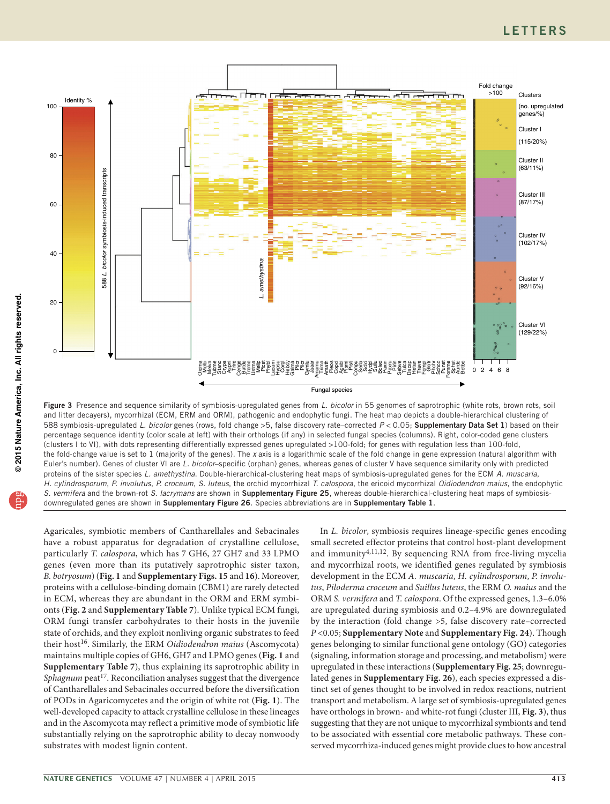### **LETTERS**



<span id="page-3-0"></span>Figure 3 Presence and sequence similarity of symbiosis-upregulated genes from *L. bicolor* in 55 genomes of saprotrophic (white rots, brown rots, soil and litter decayers), mycorrhizal (ECM, ERM and ORM), pathogenic and endophytic fungi. The heat map depicts a double-hierarchical clustering of 588 symbiosis-upregulated *L. bicolor* genes (rows, fold change >5, false discovery rate–corrected *P* < 0.05; Supplementary Data Set 1) based on their percentage sequence identity (color scale at left) with their orthologs (if any) in selected fungal species (columns). Right, color-coded gene clusters (clusters I to VI), with dots representing differentially expressed genes upregulated >100-fold; for genes with regulation less than 100-fold, the fold-change value is set to 1 (majority of the genes). The *x* axis is a logarithmic scale of the fold change in gene expression (natural algorithm with Euler's number). Genes of cluster VI are *L. bicolor*–specific (orphan) genes, whereas genes of cluster V have sequence similarity only with predicted proteins of the sister species *L. amethystina*. Double-hierarchical-clustering heat maps of symbiosis-upregulated genes for the ECM *A. muscaria*, *H. cylindrosporum*, *P. involutus*, *P. croceum*, *S. luteus*, the orchid mycorrhizal *T. calospora*, the ericoid mycorrhizal *Oidiodendron maius*, the endophytic *S. vermifera* and the brown-rot *S. lacrymans* are shown in Supplementary Figure 25, whereas double-hierarchical-clustering heat maps of symbiosisdownregulated genes are shown in Supplementary Figure 26. Species abbreviations are in Supplementary Table 1.

Agaricales, symbiotic members of Cantharellales and Sebacinales have a robust apparatus for degradation of crystalline cellulose, particularly *T. calospora*, which has 7 GH6, 27 GH7 and 33 LPMO genes (even more than its putatively saprotrophic sister taxon, *B. botryosum*) (**[Fig. 1](#page-2-0)** and **Supplementary Figs. 15** and **16**). Moreover, proteins with a cellulose-binding domain (CBM1) are rarely detected in ECM, whereas they are abundant in the ORM and ERM symbionts (**[Fig. 2](#page-1-0)** and **Supplementary Table 7**). Unlike typical ECM fungi, ORM fungi transfer carbohydrates to their hosts in the juvenile state of orchids, and they exploit nonliving organic substrates to feed their host[16](#page-5-13). Similarly, the ERM *Oidiodendron maius* (Ascomycota) maintains multiple copies of GH6, GH7 and LPMO genes (**[Fig. 1](#page-2-0)** and **Supplementary Table 7**), thus explaining its saprotrophic ability in *Sphagnum* peat<sup>[17](#page-5-14)</sup>. Reconciliation analyses suggest that the divergence of Cantharellales and Sebacinales occurred before the diversification of PODs in Agaricomycetes and the origin of white rot (**[Fig. 1](#page-2-0)**). The well-developed capacity to attack crystalline cellulose in these lineages and in the Ascomycota may reflect a primitive mode of symbiotic life substantially relying on the saprotrophic ability to decay nonwoody substrates with modest lignin content.

In *L. bicolor*, symbiosis requires lineage-specific genes encoding small secreted effector proteins that control host-plant development and immunity<sup>[4,](#page-5-2)[11,](#page-5-6)[12](#page-5-7)</sup>. By sequencing RNA from free-living mycelia and mycorrhizal roots, we identified genes regulated by symbiosis development in the ECM *A. muscaria*, *H. cylindrosporum*, *P. involutus*, *Piloderma croceum* and *Suillus luteus*, the ERM *O. maius* and the ORM *S. vermifera* and *T. calospora*. Of the expressed genes, 1.3–6.0% are upregulated during symbiosis and 0.2–4.9% are downregulated by the interaction (fold change >5, false discovery rate–corrected *P* <0.05; **Supplementary Note** and **Supplementary Fig. 24**). Though genes belonging to similar functional gene ontology (GO) categories (signaling, information storage and processing, and metabolism) were upregulated in these interactions (**Supplementary Fig. 25**; downregulated genes in **Supplementary Fig. 26**), each species expressed a distinct set of genes thought to be involved in redox reactions, nutrient transport and metabolism. A large set of symbiosis-upregulated genes have orthologs in brown- and white-rot fungi (cluster III, **[Fig. 3](#page-3-0)**), thus suggesting that they are not unique to mycorrhizal symbionts and tend to be associated with essential core metabolic pathways. These conserved mycorrhiza-induced genes might provide clues to how ancestral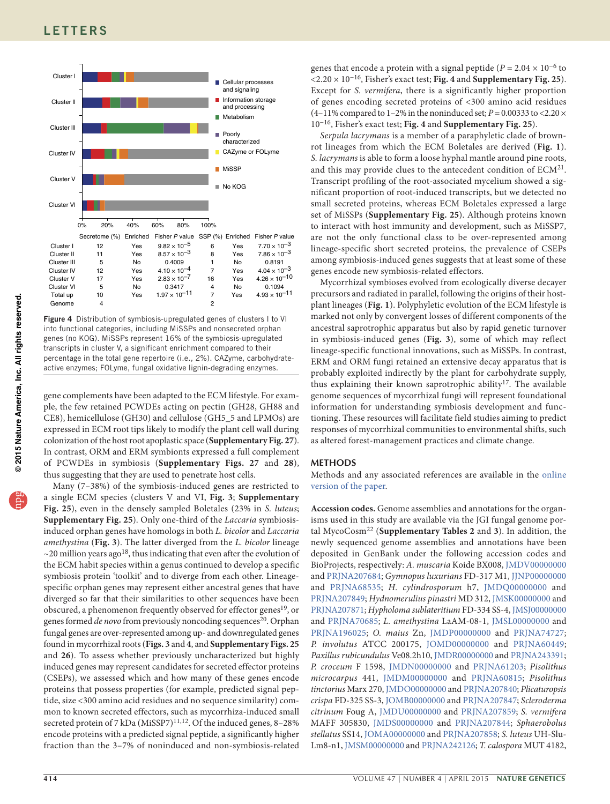

Figure 4 Distribution of symbiosis-upregulated genes of clusters I to VI into functional categories, including MiSSPs and nonsecreted orphan genes (no KOG). MiSSPs represent 16% of the symbiosis-upregulated transcripts in cluster V, a significant enrichment compared to their percentage in the total gene repertoire (i.e., 2%). CAZyme, carbohydrateactive enzymes; FOLyme, fungal oxidative lignin-degrading enzymes.

gene complements have been adapted to the ECM lifestyle. For example, the few retained PCWDEs acting on pectin (GH28, GH88 and CE8), hemicellulose (GH30) and cellulose (GH5\_5 and LPMOs) are expressed in ECM root tips likely to modify the plant cell wall during colonization of the host root apoplastic space (**Supplementary Fig. 27**). In contrast, ORM and ERM symbionts expressed a full complement of PCWDEs in symbiosis (**Supplementary Figs. 27** and **28**), thus suggesting that they are used to penetrate host cells.

Many (7–38%) of the symbiosis-induced genes are restricted to a single ECM species (clusters V and VI, **[Fig. 3](#page-3-0)**; **Supplementary Fig. 25**), even in the densely sampled Boletales (23% in *S. luteus*; **Supplementary Fig. 25**). Only one-third of the *Laccaria* symbiosisinduced orphan genes have homologs in both *L. bicolor* and *Laccaria amethystina* (**[Fig. 3](#page-3-0)**). The latter diverged from the *L. bicolor* lineage  $\sim$ 20 million years ago<sup>18</sup>, thus indicating that even after the evolution of the ECM habit species within a genus continued to develop a specific symbiosis protein 'toolkit' and to diverge from each other. Lineagespecific orphan genes may represent either ancestral genes that have diverged so far that their similarities to other sequences have been obscured, a phenomenon frequently observed for effector genes<sup>19</sup>, or genes formed *de novo* from previously noncoding sequences<sup>20</sup>. Orphan fungal genes are over-represented among up- and downregulated genes found in mycorrhizal roots (**[Figs. 3](#page-3-0)** and **4**, and **Supplementary Figs. 25** and **26**). To assess whether previously uncharacterized but highly induced genes may represent candidates for secreted effector proteins (CSEPs), we assessed which and how many of these genes encode proteins that possess properties (for example, predicted signal peptide, size <300 amino acid residues and no sequence similarity) common to known secreted effectors, such as mycorrhiza-induced small secreted protein of 7 kDa (MiSSP7) $^{11,12}$  $^{11,12}$  $^{11,12}$  $^{11,12}$ . Of the induced genes, 8-28% encode proteins with a predicted signal peptide, a significantly higher fraction than the 3–7% of noninduced and non-symbiosis-related

genes that encode a protein with a signal peptide ( $P = 2.04 \times 10^{-6}$  to <2.20 × 10−16, Fisher's exact test; **Fig. 4** and **Supplementary Fig. 25**). Except for *S. vermifera*, there is a significantly higher proportion of genes encoding secreted proteins of <300 amino acid residues  $(4-11\%$  compared to 1-2% in the noninduced set;  $P = 0.00333$  to <2.20  $\times$ 10−16, Fisher's exact test; **Fig. 4** and **Supplementary Fig. 25**).

*Serpula lacrymans* is a member of a paraphyletic clade of brownrot lineages from which the ECM Boletales are derived (**[Fig. 1](#page-2-0)**). *S. lacrymans* is able to form a loose hyphal mantle around pine roots, and this may provide clues to the antecedent condition of ECM<sup>[21](#page-5-18)</sup>. Transcript profiling of the root-associated mycelium showed a significant proportion of root-induced transcripts, but we detected no small secreted proteins, whereas ECM Boletales expressed a large set of MiSSPs (**Supplementary Fig. 25**). Although proteins known to interact with host immunity and development, such as MiSSP7, are not the only functional class to be over-represented among lineage-specific short secreted proteins, the prevalence of CSEPs among symbiosis-induced genes suggests that at least some of these genes encode new symbiosis-related effectors.

Mycorrhizal symbioses evolved from ecologically diverse decayer precursors and radiated in parallel, following the origins of their hostplant lineages (**[Fig. 1](#page-2-0)**). Polyphyletic evolution of the ECM lifestyle is marked not only by convergent losses of different components of the ancestral saprotrophic apparatus but also by rapid genetic turnover in symbiosis-induced genes (**[Fig. 3](#page-3-0)**), some of which may reflect lineage-specific functional innovations, such as MiSSPs. In contrast, ERM and ORM fungi retained an extensive decay apparatus that is probably exploited indirectly by the plant for carbohydrate supply, thus explaining their known saprotrophic ability<sup>17</sup>. The available genome sequences of mycorrhizal fungi will represent foundational information for understanding symbiosis development and functioning. These resources will facilitate field studies aiming to predict responses of mycorrhizal communities to environmental shifts, such as altered forest-management practices and climate change.

#### **Methods**

Methods and any associated references are available in the [online](http://www.nature.com/doifinder/10.1038/ng.3223) [version](http://www.nature.com/doifinder/10.1038/ng.3223) of the paper.

**Accession codes.** Genome assemblies and annotations for the organisms used in this study are available via the JGI fungal genome portal MycoCosm[22](#page-5-19) (**Supplementary Tables 2** and **3**). In addition, the newly sequenced genome assemblies and annotations have been deposited in GenBank under the following accession codes and BioProjects, respectively: *A. muscaria* Koide BX008, [JMDV00000000](http://www.ncbi.nlm.nih.gov/nuccore/JMDV00000000) and [PRJNA207684](http://www.ncbi.nlm.nih.gov/bioproject/?term=PRJNA207684); *Gymnopus luxurians* FD-317 M1, [JJNP00000000](http://www.ncbi.nlm.nih.gov/nuccore/JJNP00000000) and [PRJNA68535](http://www.ncbi.nlm.nih.gov/bioproject/?term=PRJNA68535); *H. cylindrosporum* h7, [JMDQ00000000](http://www.ncbi.nlm.nih.gov/nuccore/JMDQ00000000) and [PRJNA207849](http://www.ncbi.nlm.nih.gov/bioproject/?term=PRJNA207849); *Hydnomerulius pinastri* MD 312, [JMSK00000000](http://www.ncbi.nlm.nih.gov/nuccore/JMSK00000000) and [PRJNA207871;](http://www.ncbi.nlm.nih.gov/bioproject/?term=PRJNA207871) *Hypholoma sublateritium* FD-334 SS-4, [JMSJ00000000](http://www.ncbi.nlm.nih.gov/nuccore/JMSJ00000000) and [PRJNA70685](http://www.ncbi.nlm.nih.gov/bioproject/?term=PRJNA70685); *L. amethystina* LaAM-08-1, [JMSL00000000](http://www.ncbi.nlm.nih.gov/nuccore/JMSL00000000) and [PRJNA196025;](http://www.ncbi.nlm.nih.gov/bioproject/?term=PRJNA196025) *O. maius* Zn, [JMDP00000000](http://www.ncbi.nlm.nih.gov/nuccore/JMDP00000000) and [PRJNA74727](http://www.ncbi.nlm.nih.gov/bioproject/?term=PRJNA74727); *P. involutus* ATCC 200175, [JOMD00000000](http://www.ncbi.nlm.nih.gov/nuccore/JOMD00000000) and [PRJNA60449](http://www.ncbi.nlm.nih.gov/bioproject/?term=PRJNA60449); *Paxillus rubicundulus* Ve08.2h10, [JMDR00000000](http://www.ncbi.nlm.nih.gov/nuccore/JMDR00000000) and [PRJNA243391](http://www.ncbi.nlm.nih.gov/bioproject/?term=PRJNA243391); *P. croceum* F 1598, [JMDN00000000](http://www.ncbi.nlm.nih.gov/nuccore/JMDN00000000) and [PRJNA61203](http://www.ncbi.nlm.nih.gov/bioproject/?term=PRJNA61203); *Pisolithus microcarpus* 441, [JMDM00000000](http://www.ncbi.nlm.nih.gov/nuccore/JMDM00000000) and [PRJNA60815;](http://www.ncbi.nlm.nih.gov/bioproject/?term=PRJNA60815) *Pisolithus tinctorius* Marx 270, [JMDO00000000](http://www.ncbi.nlm.nih.gov/nuccore/JMDO00000000) and [PRJNA207840](http://www.ncbi.nlm.nih.gov/bioproject/?term=PRJNA207840); *Plicaturopsis crispa* FD-325 SS-3, [JOMB00000000](http://www.ncbi.nlm.nih.gov/nuccore/JOMB00000000) and [PRJNA207847](http://www.ncbi.nlm.nih.gov/bioproject/?term=PRJNA207847); *Scleroderma citrinum* Foug A, [JMDU00000000](http://www.ncbi.nlm.nih.gov/nuccore/JMDU00000000) and [PRJNA207859;](http://www.ncbi.nlm.nih.gov/bioproject/?term=PRJNA207859) *S. vermifera* MAFF 305830, [JMDS00000000](http://www.ncbi.nlm.nih.gov/nuccore/JMDS00000000) and [PRJNA207844](http://www.ncbi.nlm.nih.gov/bioproject/?term=PRJNA207844); *Sphaerobolus stellatus* SS14, [JOMA00000000](http://www.ncbi.nlm.nih.gov/nuccore/JOMA00000000) and [PRJNA207858;](http://www.ncbi.nlm.nih.gov/bioproject/?term=PRJNA207858) *S. luteus* UH-Slu-Lm8-n1, [JMSM00000000](http://www.ncbi.nlm.nih.gov/nuccore/JMSM00000000) and [PRJNA242126;](http://www.ncbi.nlm.nih.gov/bioproject/?term=PRJNA242126) *T. calospora* MUT 4182,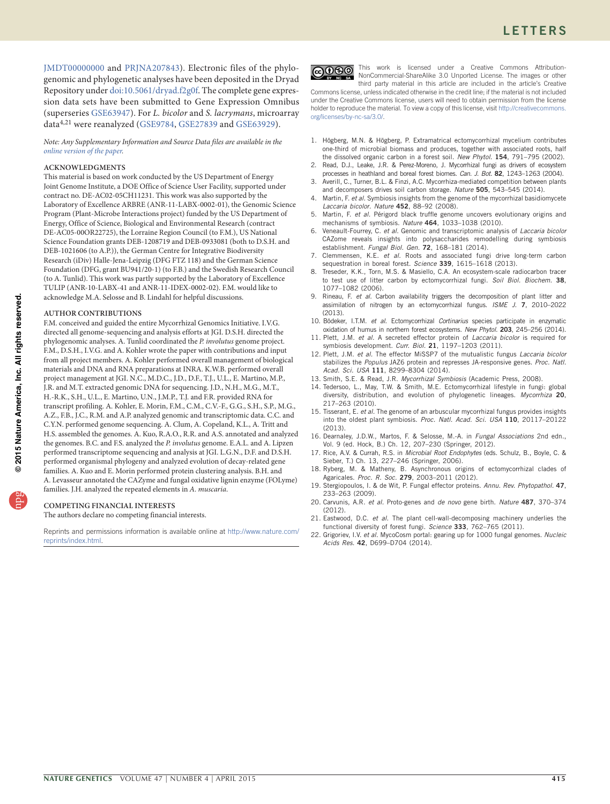[JMDT00000000](http://www.ncbi.nlm.nih.gov/nuccore/JMDT00000000) and [PRJNA207843\)](http://www.ncbi.nlm.nih.gov/bioproject/?term=PRJNA207843). Electronic files of the phylogenomic and phylogenetic analyses have been deposited in the Dryad Repository under [doi:10.5061/dryad.f2g0f.](http://datadryad.org/resource/doi:10.5061/dryad.f2g0f) The complete gene expression data sets have been submitted to Gene Expression Omnibus (superseries [GSE63947\)](http://www.ncbi.nlm.nih.gov/geo/query/acc.cgi?acc=GSE63947). For *L. bicolor* and *S. lacrymans*, microarray data[4,](#page-5-10)21 were reanalyzed ([GSE9784,](http://www.ncbi.nlm.nih.gov/geo/query/acc.cgi?acc=GSE9784) [GSE27839](http://www.ncbi.nlm.nih.gov/geo/query/acc.cgi?acc=GSE27839) and [GSE63929\)](http://www.ncbi.nlm.nih.gov/geo/query/acc.cgi?acc=GSE63929).

*Note: Any Supplementary Information and Source Data files are available in the online [version](http://www.nature.com/doifinder/10.1038/ng.3223) of the paper.*

#### **Acknowledgments**

This material is based on work conducted by the US Department of Energy Joint Genome Institute, a DOE Office of Science User Facility, supported under contract no. DE-AC02-05CH11231. This work was also supported by the Laboratory of Excellence ARBRE (ANR-11-LABX-0002-01), the Genomic Science Program (Plant-Microbe Interactions project) funded by the US Department of Energy, Office of Science, Biological and Environmental Research (contract DE-AC05-00OR22725), the Lorraine Region Council (to F.M.), US National Science Foundation grants DEB-1208719 and DEB-0933081 (both to D.S.H. and DEB-1021606 (to A.P.)), the German Centre for Integrative Biodiversity Research (iDiv) Halle-Jena-Leipzig (DFG FTZ 118) and the German Science Foundation (DFG, grant BU941/20-1) (to F.B.) and the Swedish Research Council (to A. Tunlid). This work was partly supported by the Laboratory of Excellence TULIP (ANR-10-LABX-41 and ANR-11-IDEX-0002-02). F.M. would like to acknowledge M.A. Selosse and B. Lindahl for helpful discussions.

#### **AUTHOR CONTRIBUTIONS**

F.M. conceived and guided the entire Mycorrhizal Genomics Initiative. I.V.G. directed all genome-sequencing and analysis efforts at JGI. D.S.H. directed the phylogenomic analyses. A. Tunlid coordinated the *P. involutus* genome project. F.M., D.S.H., I.V.G. and A. Kohler wrote the paper with contributions and input from all project members. A. Kohler performed overall management of biological materials and DNA and RNA preparations at INRA. K.W.B. performed overall project management at JGI. N.C., M.D.C., J.D., D.F., T.J., U.L., E. Martino, M.P., J.R. and M.T. extracted genomic DNA for sequencing. J.D., N.H., M.G., M.T., H.-R.K., S.H., U.L., E. Martino, U.N., J.M.P., T.J. and F.R. provided RNA for transcript profiling. A. Kohler, E. Morin, F.M., C.M., C.V.-F., G.G., S.H., S.P., M.G., A.Z., F.B., J.C., R.M. and A.P. analyzed genomic and transcriptomic data. C.C. and C.Y.N. performed genome sequencing. A. Clum, A. Copeland, K.L., A. Tritt and H.S. assembled the genomes. A. Kuo, R.A.O., R.R. and A.S. annotated and analyzed the genomes. B.C. and F.S. analyzed the *P. involutus* genome. E.A.L. and A. Lipzen performed transcriptome sequencing and analysis at JGI. L.G.N., D.F. and D.S.H. performed organismal phylogeny and analyzed evolution of decay-related gene families. A. Kuo and E. Morin performed protein clustering analysis. B.H. and A. Levasseur annotated the CAZyme and fungal oxidative lignin enzyme (FOLyme) families. J.H. analyzed the repeated elements in *A. muscaria*.

#### **COMPETING FINANCIAL INTERESTS**

The authors declare no competing financial interests.

Reprints and permissions information is available online at [http://www.nature.com/](http://www.nature.com/reprints/index.html) [reprints/index.html](http://www.nature.com/reprints/index.html).



This work is licensed under a Creative Commons Attribution-NonCommercial-ShareAlike 3.0 Unported License. The images or other third party material in this article are included in the article's Creative

Commons license, unless indicated otherwise in the credit line; if the material is not included under the Creative Commons license, users will need to obtain permission from the license holder to reproduce the material. To view a copy of this license, visit [http://creativecommons.](http://creativecommons.org/licenses/by-nc-sa/3.0/) [org/licenses/by-nc-sa/3.0/.](http://creativecommons.org/licenses/by-nc-sa/3.0/)

- <span id="page-5-0"></span>1. Högberg, M.N. & Högberg, P. Extramatrical ectomycorrhizal mycelium contributes one-third of microbial biomass and produces, together with associated roots, half the dissolved organic carbon in a forest soil. *New Phytol.* 154, 791–795 (2002).
- 2. Read, D.J., Leake, J.R. & Perez-Moreno, J. Mycorrhizal fungi as drivers of ecosystem processes in heathland and boreal forest biomes. *Can. J. Bot.* 82, 1243–1263 (2004).
- <span id="page-5-1"></span>3. Averill, C., Turner, B.L. & Finzi, A.C. Mycorrhiza-mediated competition between plants and decomposers drives soil carbon storage. *Nature* 505, 543–545 (2014).
- <span id="page-5-2"></span>Martin, F. et al. Symbiosis insights from the genome of the mycorrhizal basidiomycete *Laccaria bicolor*. *Nature* 452, 88–92 (2008).
- <span id="page-5-9"></span>5. Martin, F. *et al.* Périgord black truffle genome uncovers evolutionary origins and mechanisms of symbiosis. *Nature* 464, 1033–1038 (2010).
- <span id="page-5-3"></span>6. Veneault-Fourrey, C. *et al.* Genomic and transcriptomic analysis of *Laccaria bicolor* CAZome reveals insights into polysaccharides remodelling during symbiosis establishment. *Fungal Biol. Gen.* 72, 168–181 (2014).
- <span id="page-5-4"></span>7. Clemmensen, K.E. *et al.* Roots and associated fungi drive long-term carbon sequestration in boreal forest. *Science* 339, 1615–1618 (2013).
- 8. Treseder, K.K., Torn, M.S. & Masiello, C.A. An ecosystem-scale radiocarbon tracer to test use of litter carbon by ectomycorrhizal fungi. *Soil Biol. Biochem.* 38, 1077–1082 (2006).
- <span id="page-5-12"></span>9. Rineau, F. *et al.* Carbon availability triggers the decomposition of plant litter and assimilation of nitrogen by an ectomycorrhizal fungus. *ISME J.* 7, 2010–2022 (2013).
- <span id="page-5-5"></span>10. Bödeker, I.T.M. *et al.* Ectomycorrhizal *Cortinarius* species participate in enzymatic oxidation of humus in northern forest ecosystems. *New Phytol.* 203, 245–256 (2014).
- <span id="page-5-6"></span>11. Plett, J.M. *et al.* A secreted effector protein of *Laccaria bicolor* is required for symbiosis development. *Curr. Biol.* 21, 1197–1203 (2011).
- <span id="page-5-7"></span>12. Plett, J.M. *et al.* The effector MiSSP7 of the mutualistic fungus *Laccaria bicolor* stabilizes the *Populus* JAZ6 protein and represses JA-responsive genes. *Proc. Natl. Acad. Sci. USA* 111, 8299–8304 (2014).
- <span id="page-5-8"></span>13. Smith, S.E. & Read, J.R. *Mycorrhizal Symbiosis* (Academic Press, 2008).
- <span id="page-5-10"></span>14. Tedersoo, L., May, T.W. & Smith, M.E. Ectomycorrhizal lifestyle in fungi: global diversity, distribution, and evolution of phylogenetic lineages. *Mycorrhiza* 20, 217–263 (2010).
- <span id="page-5-11"></span>15. Tisserant, E. *et al.* The genome of an arbuscular mycorrhizal fungus provides insights into the oldest plant symbiosis. *Proc. Natl. Acad. Sci. USA* 110, 20117–20122 (2013).
- <span id="page-5-13"></span>16. Dearnaley, J.D.W., Martos, F. & Selosse, M.-A. in *Fungal Associations* 2nd edn., Vol. 9 (ed. Hock, B.) Ch. 12, 207–230 (Springer, 2012).
- <span id="page-5-14"></span>17. Rice, A.V. & Currah, R.S. in *Microbial Root Endophytes* (eds. Schulz, B., Boyle, C. & Sieber, T.) Ch. 13, 227–246 (Springer, 2006).
- <span id="page-5-15"></span>18. Ryberg, M. & Matheny, B. Asynchronous origins of ectomycorrhizal clades of Agaricales. *Proc. R. Soc.* 279, 2003–2011 (2012).
- <span id="page-5-16"></span>19. Stergiopoulos, I. & de Wit, P. Fungal effector proteins. *Annu. Rev. Phytopathol.* 47, 233–263 (2009).
- <span id="page-5-17"></span>20. Carvunis, A.R. *et al.* Proto-genes and *de novo* gene birth. *Nature* 487, 370–374 (2012).
- <span id="page-5-18"></span>21. Eastwood, D.C. *et al.* The plant cell-wall-decomposing machinery underlies the functional diversity of forest fungi. *Science* 333, 762–765 (2011).
- <span id="page-5-19"></span>22. Grigoriev, I.V. *et al.* MycoCosm portal: gearing up for 1000 fungal genomes. *Nucleic Acids Res.* 42, D699–D704 (2014).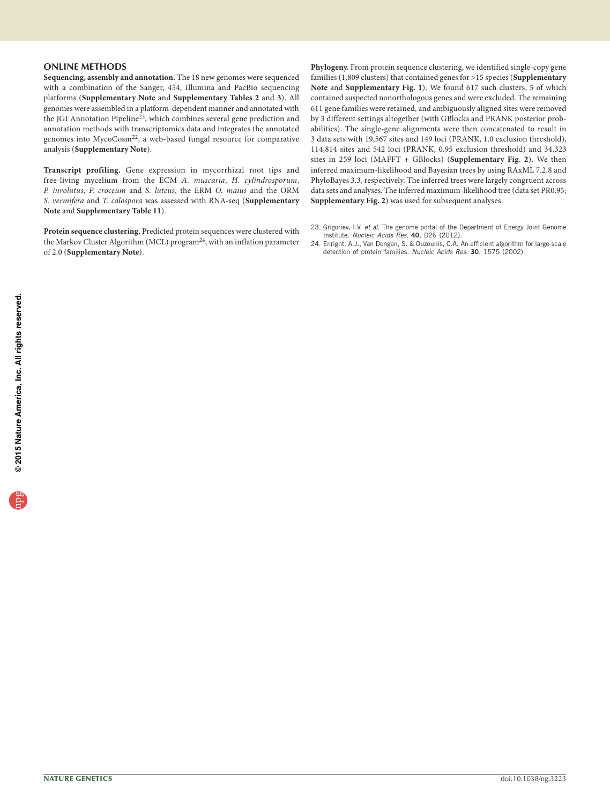#### **ONLINE METHODS**

**Sequencing, assembly and annotation.** The 18 new genomes were sequenced with a combination of the Sanger, 454, Illumina and PacBio sequencing platforms (**Supplementary Note** and **Supplementary Tables 2** and **3**). All genomes were assembled in a platform-dependent manner and annotated with the JGI Annotation Pipeline<sup>[23](#page-6-0)</sup>, which combines several gene prediction and annotation methods with transcriptomics data and integrates the annotated genomes into MycoCosm<sup>[22](#page-5-19)</sup>, a web-based fungal resource for comparative analysis (**Supplementary Note**).

**Transcript profiling.** Gene expression in mycorrhizal root tips and free-living mycelium from the ECM *A. muscaria*, *H. cylindrosporum*, *P. involutus*, *P. croceum* and *S. luteus*, the ERM *O. maius* and the ORM *S. vermifera* and *T. calospora* was assessed with RNA-seq (**Supplementary Note** and **Supplementary Table 11**).

**Protein sequence clustering.** Predicted protein sequences were clustered with the Markov Cluster Algorithm (MCL) program[24,](#page-6-1) with an inflation parameter of 2.0 (**Supplementary Note**).

- **Phylogeny.** From protein sequence clustering, we identified single-copy gene families (1,809 clusters) that contained genes for >15 species (**Supplementary Note** and **Supplementary Fig. 1**). We found 617 such clusters, 5 of which contained suspected nonorthologous genes and were excluded. The remaining 611 gene families were retained, and ambiguously aligned sites were removed by 3 different settings altogether (with GBlocks and PRANK posterior probabilities). The single-gene alignments were then concatenated to result in 3 data sets with 19,567 sites and 149 loci (PRANK, 1.0 exclusion threshold), 114,814 sites and 542 loci (PRANK, 0.95 exclusion threshold) and 34,323 sites in 259 loci (MAFFT + GBlocks) (**Supplementary Fig. 2**). We then inferred maximum-likelihood and Bayesian trees by using RAxML 7.2.8 and PhyloBayes 3.3, respectively. The inferred trees were largely congruent across data sets and analyses. The inferred maximum-likelihood tree (data set PR0.95; **Supplementary Fig. 2**) was used for subsequent analyses.
- <span id="page-6-0"></span>23. Grigoriev, I.V. *et al.* The genome portal of the Department of Energy Joint Genome Institute. *Nucleic Acids Res.* 40, D26 (2012).
- <span id="page-6-1"></span>24. Enright, A.J., Van Dongen, S. & Ouzounis, C.A. An efficient algorithm for large-scale detection of protein families. *Nucleic Acids Res.* 30, 1575 (2002).